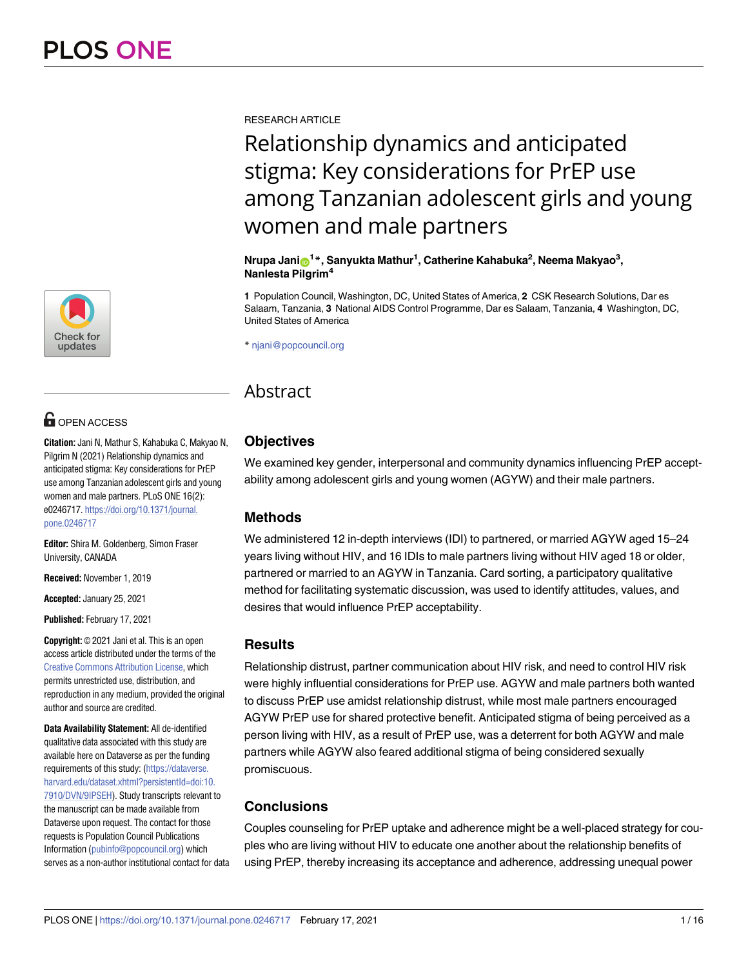

# **OPEN ACCESS**

**Citation:** Jani N, Mathur S, Kahabuka C, Makyao N, Pilgrim N (2021) Relationship dynamics and anticipated stigma: Key considerations for PrEP use among Tanzanian adolescent girls and young women and male partners. PLoS ONE 16(2): e0246717. [https://doi.org/10.1371/journal.](https://doi.org/10.1371/journal.pone.0246717) [pone.0246717](https://doi.org/10.1371/journal.pone.0246717)

**Editor:** Shira M. Goldenberg, Simon Fraser University, CANADA

**Received:** November 1, 2019

**Accepted:** January 25, 2021

**Published:** February 17, 2021

**Copyright:** © 2021 Jani et al. This is an open access article distributed under the terms of the Creative Commons [Attribution](http://creativecommons.org/licenses/by/4.0/) License, which permits unrestricted use, distribution, and reproduction in any medium, provided the original author and source are credited.

**Data Availability Statement:** All de-identified qualitative data associated with this study are available here on Dataverse as per the funding requirements of this study: ([https://dataverse.](https://dataverse.harvard.edu/dataset.xhtml?persistentId=doi:10.7910/DVN/9IPSEH) [harvard.edu/dataset.xhtml?persistentId=doi:10.](https://dataverse.harvard.edu/dataset.xhtml?persistentId=doi:10.7910/DVN/9IPSEH) [7910/DVN/9IPSEH\)](https://dataverse.harvard.edu/dataset.xhtml?persistentId=doi:10.7910/DVN/9IPSEH). Study transcripts relevant to the manuscript can be made available from Dataverse upon request. The contact for those requests is Population Council Publications Information [\(pubinfo@popcouncil.org\)](mailto:pubinfo@popcouncil.org) which serves as a non-author institutional contact for data RESEARCH ARTICLE

# Relationship dynamics and anticipated stigma: Key considerations for PrEP use among Tanzanian adolescent girls and young women and male partners

 $\mathsf{N}\mathsf{r}$ upa Jani $\mathsf{D}^{1*}, \mathsf{S}$ anyukta Mathur<sup>1</sup>, Catherine Kahabuka<sup>2</sup>, Neema Makyao<sup>3</sup>, **Nanlesta Pilgrim4**

**1** Population Council, Washington, DC, United States of America, **2** CSK Research Solutions, Dar es Salaam, Tanzania, **3** National AIDS Control Programme, Dar es Salaam, Tanzania, **4** Washington, DC, United States of America

\* njani@popcouncil.org

# Abstract

# **Objectives**

We examined key gender, interpersonal and community dynamics influencing PrEP acceptability among adolescent girls and young women (AGYW) and their male partners.

# **Methods**

We administered 12 in-depth interviews (IDI) to partnered, or married AGYW aged 15–24 years living without HIV, and 16 IDIs to male partners living without HIV aged 18 or older, partnered or married to an AGYW in Tanzania. Card sorting, a participatory qualitative method for facilitating systematic discussion, was used to identify attitudes, values, and desires that would influence PrEP acceptability.

# **Results**

Relationship distrust, partner communication about HIV risk, and need to control HIV risk were highly influential considerations for PrEP use. AGYW and male partners both wanted to discuss PrEP use amidst relationship distrust, while most male partners encouraged AGYW PrEP use for shared protective benefit. Anticipated stigma of being perceived as a person living with HIV, as a result of PrEP use, was a deterrent for both AGYW and male partners while AGYW also feared additional stigma of being considered sexually promiscuous.

# **Conclusions**

Couples counseling for PrEP uptake and adherence might be a well-placed strategy for couples who are living without HIV to educate one another about the relationship benefits of using PrEP, thereby increasing its acceptance and adherence, addressing unequal power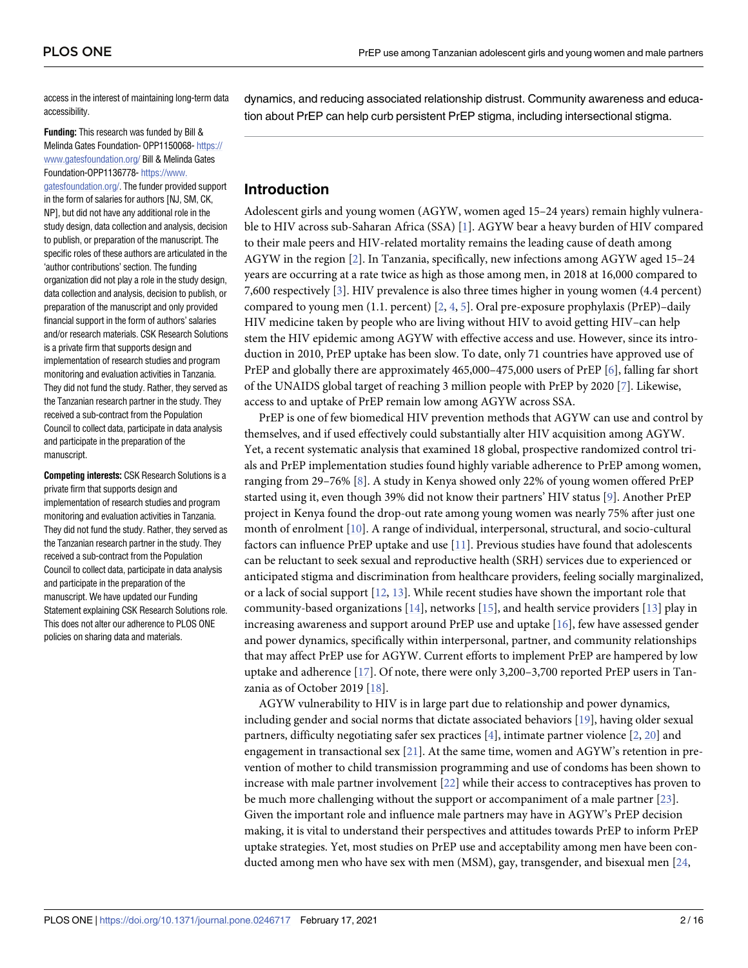<span id="page-1-0"></span>access in the interest of maintaining long-term data accessibility.

**Funding:** This research was funded by Bill & Melinda Gates Foundation- OPP1150068- [https://](https://www.gatesfoundation.org/) [www.gatesfoundation.org/](https://www.gatesfoundation.org/) Bill & Melinda Gates Foundation-OPP1136778- [https://www.](https://www.gatesfoundation.org/) [gatesfoundation.org/.](https://www.gatesfoundation.org/) The funder provided support in the form of salaries for authors [NJ, SM, CK, NP], but did not have any additional role in the study design, data collection and analysis, decision to publish, or preparation of the manuscript. The specific roles of these authors are articulated in the 'author contributions' section. The funding organization did not play a role in the study design, data collection and analysis, decision to publish, or preparation of the manuscript and only provided financial support in the form of authors' salaries and/or research materials. CSK Research Solutions is a private firm that supports design and implementation of research studies and program monitoring and evaluation activities in Tanzania. They did not fund the study. Rather, they served as the Tanzanian research partner in the study. They received a sub-contract from the Population Council to collect data, participate in data analysis and participate in the preparation of the manuscript.

**Competing interests:** CSK Research Solutions is a private firm that supports design and implementation of research studies and program monitoring and evaluation activities in Tanzania. They did not fund the study. Rather, they served as the Tanzanian research partner in the study. They received a sub-contract from the Population Council to collect data, participate in data analysis and participate in the preparation of the manuscript. We have updated our Funding Statement explaining CSK Research Solutions role. This does not alter our adherence to PLOS ONE policies on sharing data and materials.

dynamics, and reducing associated relationship distrust. Community awareness and education about PrEP can help curb persistent PrEP stigma, including intersectional stigma.

## **Introduction**

Adolescent girls and young women (AGYW, women aged 15–24 years) remain highly vulnerable to HIV across sub-Saharan Africa (SSA) [\[1](#page-12-0)]. AGYW bear a heavy burden of HIV compared to their male peers and HIV-related mortality remains the leading cause of death among AGYW in the region [[2](#page-12-0)]. In Tanzania, specifically, new infections among AGYW aged 15–24 years are occurring at a rate twice as high as those among men, in 2018 at 16,000 compared to 7,600 respectively [[3](#page-12-0)]. HIV prevalence is also three times higher in young women (4.4 percent) compared to young men  $(1.1.$  percent)  $[2, 4, 5]$  $[2, 4, 5]$  $[2, 4, 5]$  $[2, 4, 5]$  $[2, 4, 5]$  $[2, 4, 5]$ . Oral pre-exposure prophylaxis (PrEP)-daily HIV medicine taken by people who are living without HIV to avoid getting HIV–can help stem the HIV epidemic among AGYW with effective access and use. However, since its introduction in 2010, PrEP uptake has been slow. To date, only 71 countries have approved use of PrEP and globally there are approximately 465,000–475,000 users of PrEP [\[6\]](#page-12-0), falling far short of the UNAIDS global target of reaching 3 million people with PrEP by 2020 [\[7](#page-12-0)]. Likewise, access to and uptake of PrEP remain low among AGYW across SSA.

PrEP is one of few biomedical HIV prevention methods that AGYW can use and control by themselves, and if used effectively could substantially alter HIV acquisition among AGYW. Yet, a recent systematic analysis that examined 18 global, prospective randomized control trials and PrEP implementation studies found highly variable adherence to PrEP among women, ranging from 29–76% [[8](#page-12-0)]. A study in Kenya showed only 22% of young women offered PrEP started using it, even though 39% did not know their partners' HIV status [\[9\]](#page-12-0). Another PrEP project in Kenya found the drop-out rate among young women was nearly 75% after just one month of enrolment [[10](#page-12-0)]. A range of individual, interpersonal, structural, and socio-cultural factors can influence PrEP uptake and use [\[11\]](#page-13-0). Previous studies have found that adolescents can be reluctant to seek sexual and reproductive health (SRH) services due to experienced or anticipated stigma and discrimination from healthcare providers, feeling socially marginalized, or a lack of social support [\[12,](#page-13-0) [13\]](#page-13-0). While recent studies have shown the important role that community-based organizations [[14](#page-13-0)], networks [[15](#page-13-0)], and health service providers [\[13\]](#page-13-0) play in increasing awareness and support around PrEP use and uptake [[16](#page-13-0)], few have assessed gender and power dynamics, specifically within interpersonal, partner, and community relationships that may affect PrEP use for AGYW. Current efforts to implement PrEP are hampered by low uptake and adherence [\[17\]](#page-13-0). Of note, there were only 3,200–3,700 reported PrEP users in Tanzania as of October 2019 [\[18\]](#page-13-0).

AGYW vulnerability to HIV is in large part due to relationship and power dynamics, including gender and social norms that dictate associated behaviors [[19](#page-13-0)], having older sexual partners, difficulty negotiating safer sex practices [[4](#page-12-0)], intimate partner violence [\[2](#page-12-0), [20](#page-13-0)] and engagement in transactional sex  $[21]$ . At the same time, women and AGYW's retention in prevention of mother to child transmission programming and use of condoms has been shown to increase with male partner involvement [[22](#page-13-0)] while their access to contraceptives has proven to be much more challenging without the support or accompaniment of a male partner [[23](#page-13-0)]. Given the important role and influence male partners may have in AGYW's PrEP decision making, it is vital to understand their perspectives and attitudes towards PrEP to inform PrEP uptake strategies. Yet, most studies on PrEP use and acceptability among men have been conducted among men who have sex with men (MSM), gay, transgender, and bisexual men [[24](#page-13-0),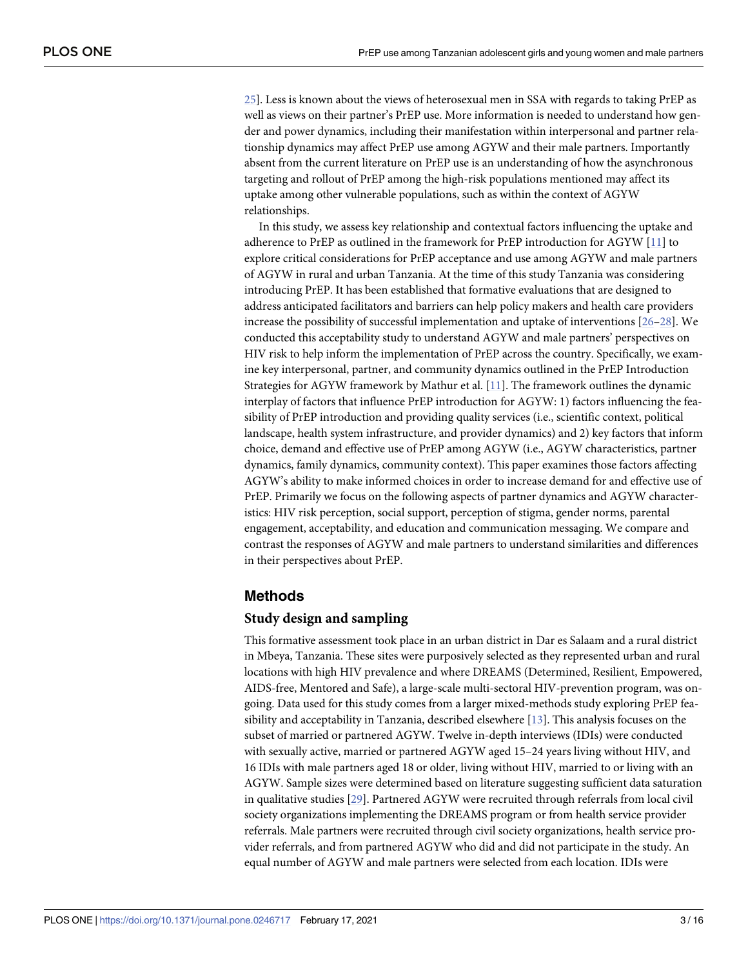<span id="page-2-0"></span>[25\]](#page-13-0). Less is known about the views of heterosexual men in SSA with regards to taking PrEP as well as views on their partner's PrEP use. More information is needed to understand how gender and power dynamics, including their manifestation within interpersonal and partner relationship dynamics may affect PrEP use among AGYW and their male partners. Importantly absent from the current literature on PrEP use is an understanding of how the asynchronous targeting and rollout of PrEP among the high-risk populations mentioned may affect its uptake among other vulnerable populations, such as within the context of AGYW relationships.

In this study, we assess key relationship and contextual factors influencing the uptake and adherence to PrEP as outlined in the framework for PrEP introduction for AGYW [[11](#page-13-0)] to explore critical considerations for PrEP acceptance and use among AGYW and male partners of AGYW in rural and urban Tanzania. At the time of this study Tanzania was considering introducing PrEP. It has been established that formative evaluations that are designed to address anticipated facilitators and barriers can help policy makers and health care providers increase the possibility of successful implementation and uptake of interventions [[26](#page-13-0)[–28\]](#page-14-0). We conducted this acceptability study to understand AGYW and male partners' perspectives on HIV risk to help inform the implementation of PrEP across the country. Specifically, we examine key interpersonal, partner, and community dynamics outlined in the PrEP Introduction Strategies for AGYW framework by Mathur et al. [\[11\]](#page-13-0). The framework outlines the dynamic interplay of factors that influence PrEP introduction for AGYW: 1) factors influencing the feasibility of PrEP introduction and providing quality services (i.e., scientific context, political landscape, health system infrastructure, and provider dynamics) and 2) key factors that inform choice, demand and effective use of PrEP among AGYW (i.e., AGYW characteristics, partner dynamics, family dynamics, community context). This paper examines those factors affecting AGYW's ability to make informed choices in order to increase demand for and effective use of PrEP. Primarily we focus on the following aspects of partner dynamics and AGYW characteristics: HIV risk perception, social support, perception of stigma, gender norms, parental engagement, acceptability, and education and communication messaging. We compare and contrast the responses of AGYW and male partners to understand similarities and differences in their perspectives about PrEP.

#### **Methods**

#### **Study design and sampling**

This formative assessment took place in an urban district in Dar es Salaam and a rural district in Mbeya, Tanzania. These sites were purposively selected as they represented urban and rural locations with high HIV prevalence and where DREAMS (Determined, Resilient, Empowered, AIDS-free, Mentored and Safe), a large-scale multi-sectoral HIV-prevention program, was ongoing. Data used for this study comes from a larger mixed-methods study exploring PrEP feasibility and acceptability in Tanzania, described elsewhere [\[13\]](#page-13-0). This analysis focuses on the subset of married or partnered AGYW. Twelve in-depth interviews (IDIs) were conducted with sexually active, married or partnered AGYW aged 15–24 years living without HIV, and 16 IDIs with male partners aged 18 or older, living without HIV, married to or living with an AGYW. Sample sizes were determined based on literature suggesting sufficient data saturation in qualitative studies [\[29\]](#page-14-0). Partnered AGYW were recruited through referrals from local civil society organizations implementing the DREAMS program or from health service provider referrals. Male partners were recruited through civil society organizations, health service provider referrals, and from partnered AGYW who did and did not participate in the study. An equal number of AGYW and male partners were selected from each location. IDIs were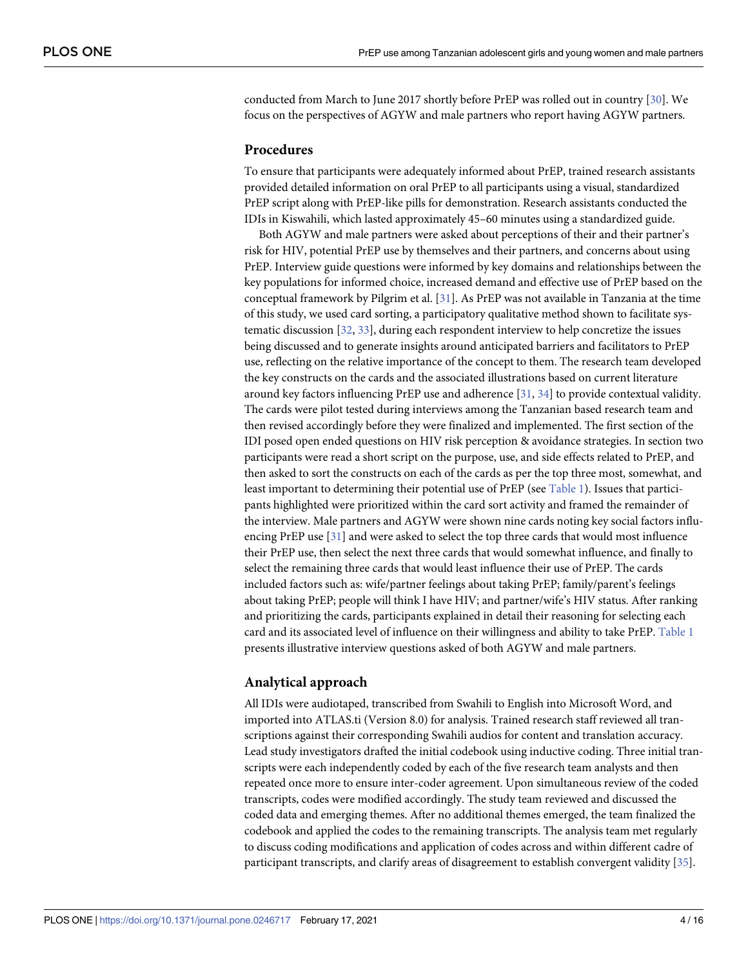<span id="page-3-0"></span>conducted from March to June 2017 shortly before PrEP was rolled out in country [\[30\]](#page-14-0). We focus on the perspectives of AGYW and male partners who report having AGYW partners.

#### **Procedures**

To ensure that participants were adequately informed about PrEP, trained research assistants provided detailed information on oral PrEP to all participants using a visual, standardized PrEP script along with PrEP-like pills for demonstration. Research assistants conducted the IDIs in Kiswahili, which lasted approximately 45–60 minutes using a standardized guide.

Both AGYW and male partners were asked about perceptions of their and their partner's risk for HIV, potential PrEP use by themselves and their partners, and concerns about using PrEP. Interview guide questions were informed by key domains and relationships between the key populations for informed choice, increased demand and effective use of PrEP based on the conceptual framework by Pilgrim et al. [[31](#page-14-0)]. As PrEP was not available in Tanzania at the time of this study, we used card sorting, a participatory qualitative method shown to facilitate systematic discussion [\[32](#page-14-0), [33](#page-14-0)], during each respondent interview to help concretize the issues being discussed and to generate insights around anticipated barriers and facilitators to PrEP use, reflecting on the relative importance of the concept to them. The research team developed the key constructs on the cards and the associated illustrations based on current literature around key factors influencing PrEP use and adherence [\[31,](#page-14-0) [34\]](#page-14-0) to provide contextual validity. The cards were pilot tested during interviews among the Tanzanian based research team and then revised accordingly before they were finalized and implemented. The first section of the IDI posed open ended questions on HIV risk perception & avoidance strategies. In section two participants were read a short script on the purpose, use, and side effects related to PrEP, and then asked to sort the constructs on each of the cards as per the top three most, somewhat, and least important to determining their potential use of PrEP (see [Table](#page-4-0) 1). Issues that participants highlighted were prioritized within the card sort activity and framed the remainder of the interview. Male partners and AGYW were shown nine cards noting key social factors influencing PrEP use [\[31\]](#page-14-0) and were asked to select the top three cards that would most influence their PrEP use, then select the next three cards that would somewhat influence, and finally to select the remaining three cards that would least influence their use of PrEP. The cards included factors such as: wife/partner feelings about taking PrEP; family/parent's feelings about taking PrEP; people will think I have HIV; and partner/wife's HIV status. After ranking and prioritizing the cards, participants explained in detail their reasoning for selecting each card and its associated level of influence on their willingness and ability to take PrEP. [Table](#page-4-0) 1 presents illustrative interview questions asked of both AGYW and male partners.

#### **Analytical approach**

All IDIs were audiotaped, transcribed from Swahili to English into Microsoft Word, and imported into ATLAS.ti (Version 8.0) for analysis. Trained research staff reviewed all transcriptions against their corresponding Swahili audios for content and translation accuracy. Lead study investigators drafted the initial codebook using inductive coding. Three initial transcripts were each independently coded by each of the five research team analysts and then repeated once more to ensure inter-coder agreement. Upon simultaneous review of the coded transcripts, codes were modified accordingly. The study team reviewed and discussed the coded data and emerging themes. After no additional themes emerged, the team finalized the codebook and applied the codes to the remaining transcripts. The analysis team met regularly to discuss coding modifications and application of codes across and within different cadre of participant transcripts, and clarify areas of disagreement to establish convergent validity [\[35\]](#page-14-0).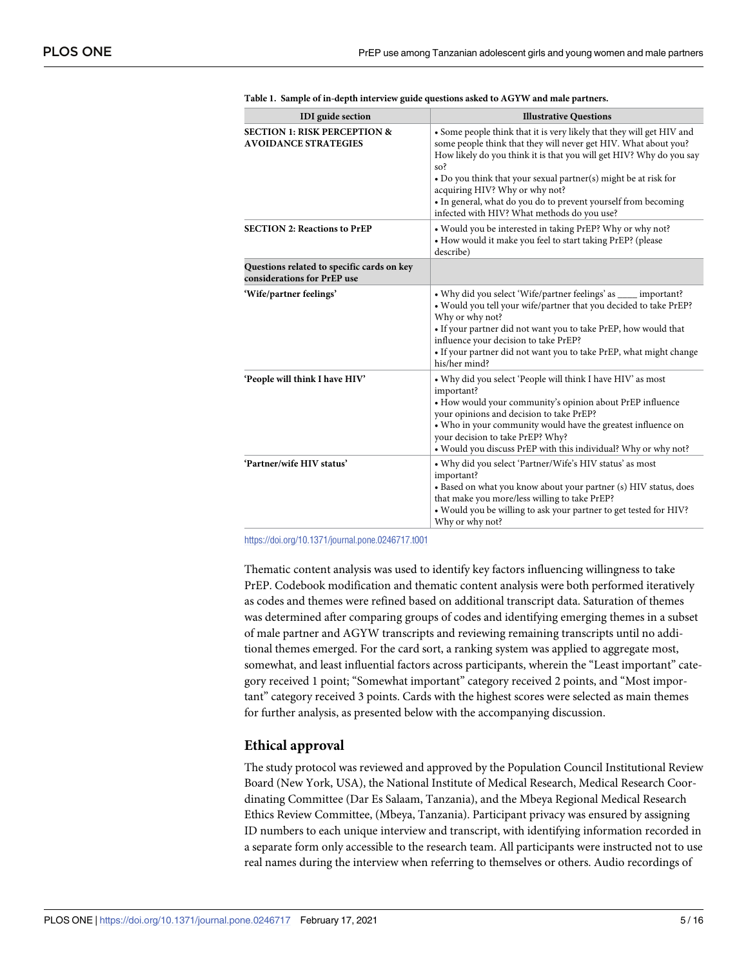| <b>IDI</b> guide section                                                  | <b>Illustrative Questions</b>                                                                                                                                                                                                                                                                                                                                                                                                                |  |  |
|---------------------------------------------------------------------------|----------------------------------------------------------------------------------------------------------------------------------------------------------------------------------------------------------------------------------------------------------------------------------------------------------------------------------------------------------------------------------------------------------------------------------------------|--|--|
| <b>SECTION 1: RISK PERCEPTION &amp;</b><br><b>AVOIDANCE STRATEGIES</b>    | • Some people think that it is very likely that they will get HIV and<br>some people think that they will never get HIV. What about you?<br>How likely do you think it is that you will get HIV? Why do you say<br>so?<br>• Do you think that your sexual partner(s) might be at risk for<br>acquiring HIV? Why or why not?<br>· In general, what do you do to prevent yourself from becoming<br>infected with HIV? What methods do you use? |  |  |
| <b>SECTION 2: Reactions to PrEP</b>                                       | . Would you be interested in taking PrEP? Why or why not?<br>• How would it make you feel to start taking PrEP? (please<br>describe)                                                                                                                                                                                                                                                                                                         |  |  |
| Questions related to specific cards on key<br>considerations for PrEP use |                                                                                                                                                                                                                                                                                                                                                                                                                                              |  |  |
| 'Wife/partner feelings'                                                   | • Why did you select 'Wife/partner feelings' as _____ important?<br>. Would you tell your wife/partner that you decided to take PrEP?<br>Why or why not?<br>• If your partner did not want you to take PrEP, how would that<br>influence your decision to take PrEP?<br>• If your partner did not want you to take PrEP, what might change<br>his/her mind?                                                                                  |  |  |
| 'People will think I have HIV'                                            | • Why did you select 'People will think I have HIV' as most<br>important?<br>• How would your community's opinion about PrEP influence<br>your opinions and decision to take PrEP?<br>• Who in your community would have the greatest influence on<br>your decision to take PrEP? Why?<br>. Would you discuss PrEP with this individual? Why or why not?                                                                                     |  |  |
| 'Partner/wife HIV status'                                                 | • Why did you select 'Partner/Wife's HIV status' as most<br>important?<br>• Based on what you know about your partner (s) HIV status, does<br>that make you more/less willing to take PrEP?<br>. Would you be willing to ask your partner to get tested for HIV?<br>Why or why not?                                                                                                                                                          |  |  |

<span id="page-4-0"></span>

| Table 1. Sample of in-depth interview guide questions asked to AGYW and male partners. |  |  |  |  |  |  |  |
|----------------------------------------------------------------------------------------|--|--|--|--|--|--|--|
|----------------------------------------------------------------------------------------|--|--|--|--|--|--|--|

<https://doi.org/10.1371/journal.pone.0246717.t001>

Thematic content analysis was used to identify key factors influencing willingness to take PrEP. Codebook modification and thematic content analysis were both performed iteratively as codes and themes were refined based on additional transcript data. Saturation of themes was determined after comparing groups of codes and identifying emerging themes in a subset of male partner and AGYW transcripts and reviewing remaining transcripts until no additional themes emerged. For the card sort, a ranking system was applied to aggregate most, somewhat, and least influential factors across participants, wherein the "Least important" category received 1 point; "Somewhat important" category received 2 points, and "Most important" category received 3 points. Cards with the highest scores were selected as main themes for further analysis, as presented below with the accompanying discussion.

#### **Ethical approval**

The study protocol was reviewed and approved by the Population Council Institutional Review Board (New York, USA), the National Institute of Medical Research, Medical Research Coordinating Committee (Dar Es Salaam, Tanzania), and the Mbeya Regional Medical Research Ethics Review Committee, (Mbeya, Tanzania). Participant privacy was ensured by assigning ID numbers to each unique interview and transcript, with identifying information recorded in a separate form only accessible to the research team. All participants were instructed not to use real names during the interview when referring to themselves or others. Audio recordings of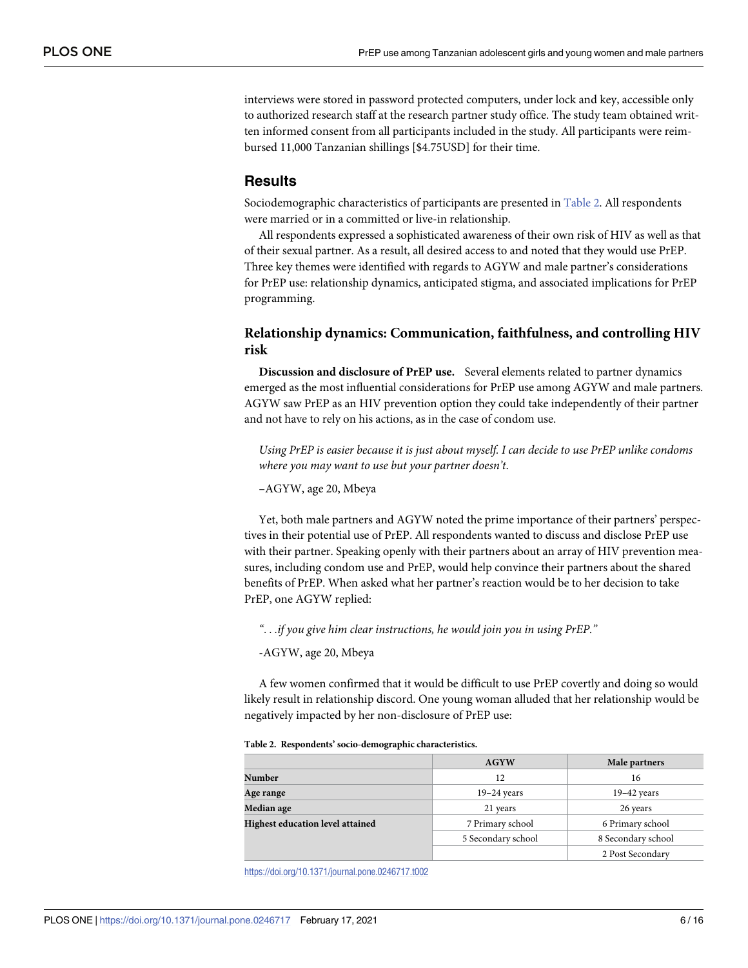interviews were stored in password protected computers, under lock and key, accessible only to authorized research staff at the research partner study office. The study team obtained written informed consent from all participants included in the study. All participants were reimbursed 11,000 Tanzanian shillings [\$4.75USD] for their time.

#### **Results**

Sociodemographic characteristics of participants are presented in Table 2. All respondents were married or in a committed or live-in relationship.

All respondents expressed a sophisticated awareness of their own risk of HIV as well as that of their sexual partner. As a result, all desired access to and noted that they would use PrEP. Three key themes were identified with regards to AGYW and male partner's considerations for PrEP use: relationship dynamics, anticipated stigma, and associated implications for PrEP programming.

### **Relationship dynamics: Communication, faithfulness, and controlling HIV risk**

**Discussion and disclosure of PrEP use.** Several elements related to partner dynamics emerged as the most influential considerations for PrEP use among AGYW and male partners. AGYW saw PrEP as an HIV prevention option they could take independently of their partner and not have to rely on his actions, as in the case of condom use.

*Using PrEP is easier because it is just about myself. I can decide to use PrEP unlike condoms where you may want to use but your partner doesn't*.

–AGYW, age 20, Mbeya

Yet, both male partners and AGYW noted the prime importance of their partners' perspectives in their potential use of PrEP. All respondents wanted to discuss and disclose PrEP use with their partner. Speaking openly with their partners about an array of HIV prevention measures, including condom use and PrEP, would help convince their partners about the shared benefits of PrEP. When asked what her partner's reaction would be to her decision to take PrEP, one AGYW replied:

*"*. . .*if you give him clear instructions, he would join you in using PrEP."*

-AGYW, age 20, Mbeya

A few women confirmed that it would be difficult to use PrEP covertly and doing so would likely result in relationship discord. One young woman alluded that her relationship would be negatively impacted by her non-disclosure of PrEP use:

|  | Table 2. Respondents' socio-demographic characteristics. |  |
|--|----------------------------------------------------------|--|
|  |                                                          |  |

|                                  | <b>AGYW</b>        | Male partners      |  |  |
|----------------------------------|--------------------|--------------------|--|--|
| Number                           | 12                 | 16                 |  |  |
| Age range                        | $19-24$ years      | $19-42$ years      |  |  |
| Median age                       | 21 years           | 26 years           |  |  |
| Highest education level attained | 7 Primary school   | 6 Primary school   |  |  |
|                                  | 5 Secondary school | 8 Secondary school |  |  |
|                                  |                    | 2 Post Secondary   |  |  |

<https://doi.org/10.1371/journal.pone.0246717.t002>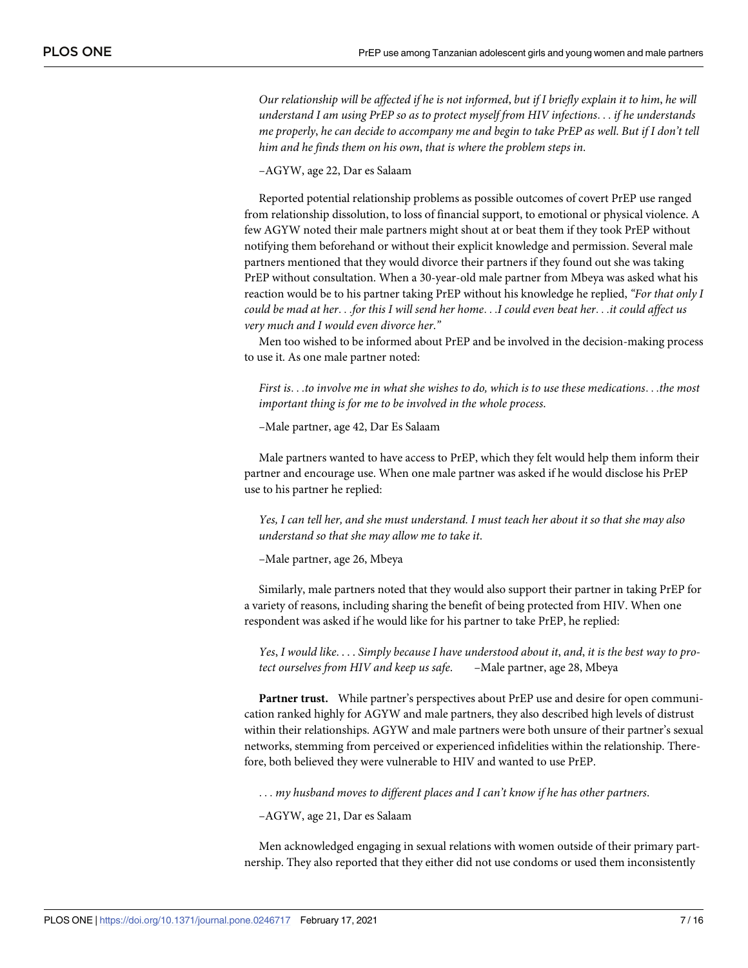Our relationship will be affected if he is not informed, but if I briefly explain it to him, he will *understand I am using PrEP so as to protect myself from HIV infections*. . . *if he understands* me properly, he can decide to accompany me and begin to take PrEP as well. But if I don't tell *him and he finds them on his own*, *that is where the problem steps in*.

–AGYW, age 22, Dar es Salaam

Reported potential relationship problems as possible outcomes of covert PrEP use ranged from relationship dissolution, to loss of financial support, to emotional or physical violence. A few AGYW noted their male partners might shout at or beat them if they took PrEP without notifying them beforehand or without their explicit knowledge and permission. Several male partners mentioned that they would divorce their partners if they found out she was taking PrEP without consultation. When a 30-year-old male partner from Mbeya was asked what his reaction would be to his partner taking PrEP without his knowledge he replied, *"For that only I* could be mad at her...for this I will send her home...I could even beat her...it could affect us *very much and I would even divorce her*.*"*

Men too wished to be informed about PrEP and be involved in the decision-making process to use it. As one male partner noted:

First is...to involve me in what she wishes to do, which is to use these medications...the most *important thing is for me to be involved in the whole process*.

–Male partner, age 42, Dar Es Salaam

Male partners wanted to have access to PrEP, which they felt would help them inform their partner and encourage use. When one male partner was asked if he would disclose his PrEP use to his partner he replied:

Yes, I can tell her, and she must understand. I must teach her about it so that she may also *understand so that she may allow me to take it*.

–Male partner, age 26, Mbeya

Similarly, male partners noted that they would also support their partner in taking PrEP for a variety of reasons, including sharing the benefit of being protected from HIV. When one respondent was asked if he would like for his partner to take PrEP, he replied:

Yes, I would like.... Simply because I have understood about it, and, it is the best way to pro*tect ourselves from HIV and keep us safe*. –Male partner, age 28, Mbeya

**Partner trust.** While partner's perspectives about PrEP use and desire for open communication ranked highly for AGYW and male partners, they also described high levels of distrust within their relationships. AGYW and male partners were both unsure of their partner's sexual networks, stemming from perceived or experienced infidelities within the relationship. Therefore, both believed they were vulnerable to HIV and wanted to use PrEP.

. . . *my husband moves to different places and I can't know if he has other partners*.

–AGYW, age 21, Dar es Salaam

Men acknowledged engaging in sexual relations with women outside of their primary partnership. They also reported that they either did not use condoms or used them inconsistently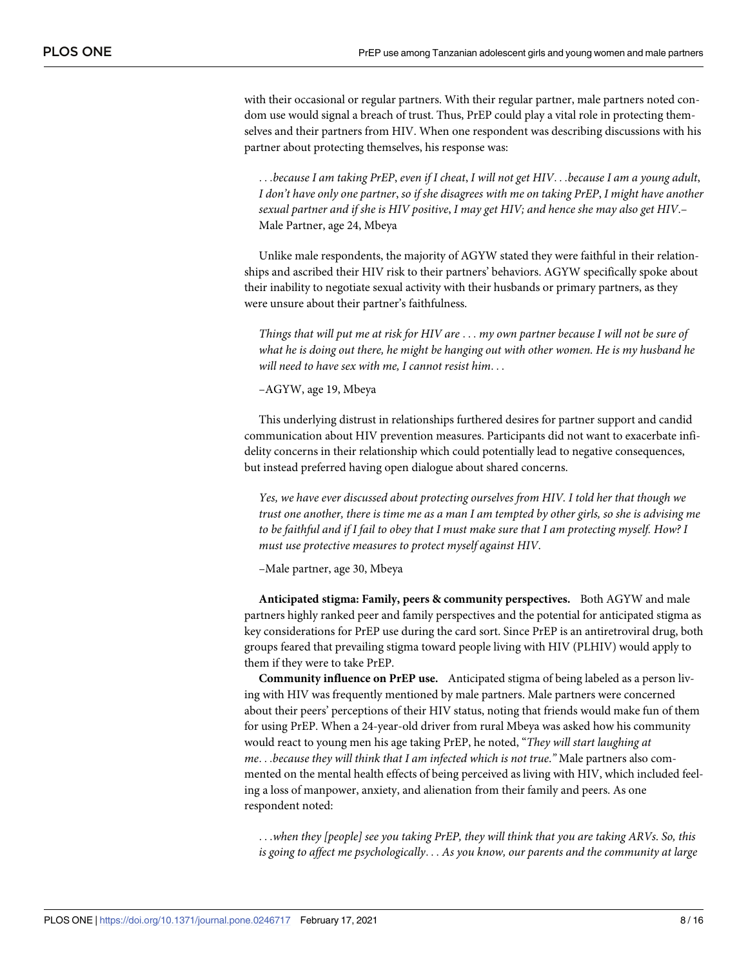with their occasional or regular partners. With their regular partner, male partners noted condom use would signal a breach of trust. Thus, PrEP could play a vital role in protecting themselves and their partners from HIV. When one respondent was describing discussions with his partner about protecting themselves, his response was:

...because I am taking PrEP, even if I cheat, I will not get HIV...because I am a young adult, I don't have only one partner, so if she disagrees with me on taking PrEP, I might have another *sexual partner and if she is HIV positive*, *I may get HIV; and hence she may also get HIV*.– Male Partner, age 24, Mbeya

Unlike male respondents, the majority of AGYW stated they were faithful in their relationships and ascribed their HIV risk to their partners' behaviors. AGYW specifically spoke about their inability to negotiate sexual activity with their husbands or primary partners, as they were unsure about their partner's faithfulness.

Things that will put me at risk for HIV are ... my own partner because I will not be sure of *what he is doing out there, he might be hanging out with other women. He is my husband he will need to have sex with me, I cannot resist him*. . .

–AGYW, age 19, Mbeya

This underlying distrust in relationships furthered desires for partner support and candid communication about HIV prevention measures. Participants did not want to exacerbate infidelity concerns in their relationship which could potentially lead to negative consequences, but instead preferred having open dialogue about shared concerns.

*Yes, we have ever discussed about protecting ourselves from HIV. I told her that though we* trust one another, there is time me as a man I am tempted by other girls, so she is advising me to be faithful and if I fail to obey that I must make sure that I am protecting myself. How? I *must use protective measures to protect myself against HIV*.

–Male partner, age 30, Mbeya

**Anticipated stigma: Family, peers & community perspectives.** Both AGYW and male partners highly ranked peer and family perspectives and the potential for anticipated stigma as key considerations for PrEP use during the card sort. Since PrEP is an antiretroviral drug, both groups feared that prevailing stigma toward people living with HIV (PLHIV) would apply to them if they were to take PrEP.

**Community influence on PrEP use.** Anticipated stigma of being labeled as a person living with HIV was frequently mentioned by male partners. Male partners were concerned about their peers' perceptions of their HIV status, noting that friends would make fun of them for using PrEP. When a 24-year-old driver from rural Mbeya was asked how his community would react to young men his age taking PrEP, he noted, "*They will start laughing at me*. . .*because they will think that I am infected which is not true*.*"* Male partners also commented on the mental health effects of being perceived as living with HIV, which included feeling a loss of manpower, anxiety, and alienation from their family and peers. As one respondent noted:

. . .*when they [people] see you taking PrEP, they will think that you are taking ARVs. So, this is going to affect me psychologically*. . . *As you know, our parents and the community at large*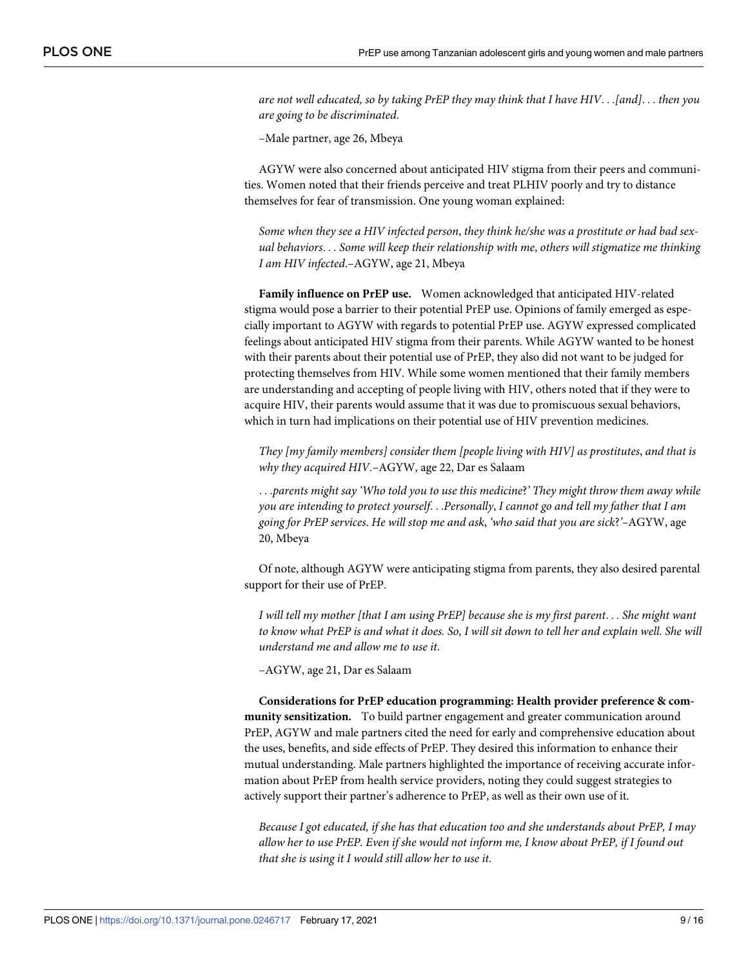*are not well educated, so by taking PrEP they may think that I have HIV*. . .*[and]*. . . *then you are going to be discriminated*.

–Male partner, age 26, Mbeya

AGYW were also concerned about anticipated HIV stigma from their peers and communities. Women noted that their friends perceive and treat PLHIV poorly and try to distance themselves for fear of transmission. One young woman explained:

*Some when they see a HIV infected person*, *they think he/she was a prostitute or had bad sexual behaviors*. . . *Some will keep their relationship with me*, *others will stigmatize me thinking I am HIV infected*.–AGYW, age 21, Mbeya

**Family influence on PrEP use.** Women acknowledged that anticipated HIV-related stigma would pose a barrier to their potential PrEP use. Opinions of family emerged as especially important to AGYW with regards to potential PrEP use. AGYW expressed complicated feelings about anticipated HIV stigma from their parents. While AGYW wanted to be honest with their parents about their potential use of PrEP, they also did not want to be judged for protecting themselves from HIV. While some women mentioned that their family members are understanding and accepting of people living with HIV, others noted that if they were to acquire HIV, their parents would assume that it was due to promiscuous sexual behaviors, which in turn had implications on their potential use of HIV prevention medicines.

*They [my family members] consider them [people living with HIV] as prostitutes*, *and that is why they acquired HIV*.–AGYW, age 22, Dar es Salaam

. . .*parents might say 'Who told you to use this medicine*?*' They might throw them away while you are intending to protect yourself*. . .*Personally*, *I cannot go and tell my father that I am going for PrEP services*. *He will stop me and ask*, *'who said that you are sick*?*'–*AGYW, age 20, Mbeya

Of note, although AGYW were anticipating stigma from parents, they also desired parental support for their use of PrEP.

I will tell my mother [that I am using PrEP] because she is my first parent... She might want to know what PrEP is and what it does. So, I will sit down to tell her and explain well. She will *understand me and allow me to use it*.

–AGYW, age 21, Dar es Salaam

**Considerations for PrEP education programming: Health provider preference & community sensitization.** To build partner engagement and greater communication around PrEP, AGYW and male partners cited the need for early and comprehensive education about the uses, benefits, and side effects of PrEP. They desired this information to enhance their mutual understanding. Male partners highlighted the importance of receiving accurate information about PrEP from health service providers, noting they could suggest strategies to actively support their partner's adherence to PrEP, as well as their own use of it.

*Because I got educated, if she has that education too and she understands about PrEP, I may* allow her to use PrEP. Even if she would not inform me, I know about PrEP, if I found out *that she is using it I would still allow her to use it*.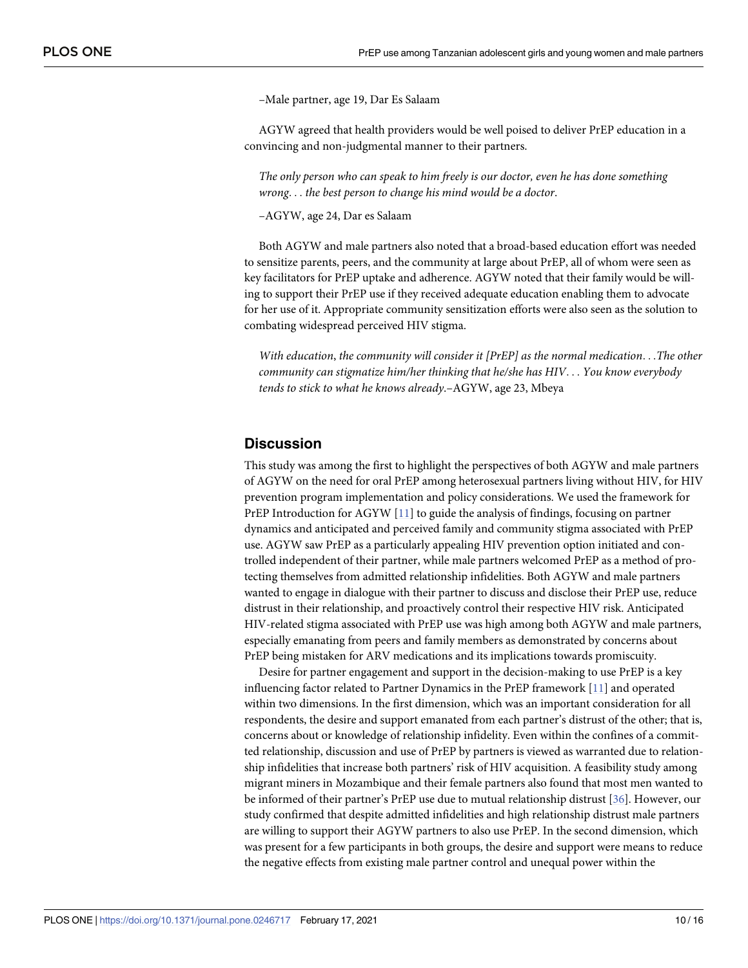–Male partner, age 19, Dar Es Salaam

<span id="page-9-0"></span>AGYW agreed that health providers would be well poised to deliver PrEP education in a convincing and non-judgmental manner to their partners.

*The only person who can speak to him freely is our doctor, even he has done something wrong*. . . *the best person to change his mind would be a doctor*.

–AGYW, age 24, Dar es Salaam

Both AGYW and male partners also noted that a broad-based education effort was needed to sensitize parents, peers, and the community at large about PrEP, all of whom were seen as key facilitators for PrEP uptake and adherence. AGYW noted that their family would be willing to support their PrEP use if they received adequate education enabling them to advocate for her use of it. Appropriate community sensitization efforts were also seen as the solution to combating widespread perceived HIV stigma.

*With education*, *the community will consider it [PrEP] as the normal medication*. . .*The other community can stigmatize him/her thinking that he/she has HIV*. . . *You know everybody tends to stick to what he knows already*.–AGYW, age 23, Mbeya

#### **Discussion**

This study was among the first to highlight the perspectives of both AGYW and male partners of AGYW on the need for oral PrEP among heterosexual partners living without HIV, for HIV prevention program implementation and policy considerations. We used the framework for PrEP Introduction for AGYW [\[11\]](#page-13-0) to guide the analysis of findings, focusing on partner dynamics and anticipated and perceived family and community stigma associated with PrEP use. AGYW saw PrEP as a particularly appealing HIV prevention option initiated and controlled independent of their partner, while male partners welcomed PrEP as a method of protecting themselves from admitted relationship infidelities. Both AGYW and male partners wanted to engage in dialogue with their partner to discuss and disclose their PrEP use, reduce distrust in their relationship, and proactively control their respective HIV risk. Anticipated HIV-related stigma associated with PrEP use was high among both AGYW and male partners, especially emanating from peers and family members as demonstrated by concerns about PrEP being mistaken for ARV medications and its implications towards promiscuity.

Desire for partner engagement and support in the decision-making to use PrEP is a key influencing factor related to Partner Dynamics in the PrEP framework [\[11\]](#page-13-0) and operated within two dimensions. In the first dimension, which was an important consideration for all respondents, the desire and support emanated from each partner's distrust of the other; that is, concerns about or knowledge of relationship infidelity. Even within the confines of a committed relationship, discussion and use of PrEP by partners is viewed as warranted due to relationship infidelities that increase both partners' risk of HIV acquisition. A feasibility study among migrant miners in Mozambique and their female partners also found that most men wanted to be informed of their partner's PrEP use due to mutual relationship distrust [[36](#page-14-0)]. However, our study confirmed that despite admitted infidelities and high relationship distrust male partners are willing to support their AGYW partners to also use PrEP. In the second dimension, which was present for a few participants in both groups, the desire and support were means to reduce the negative effects from existing male partner control and unequal power within the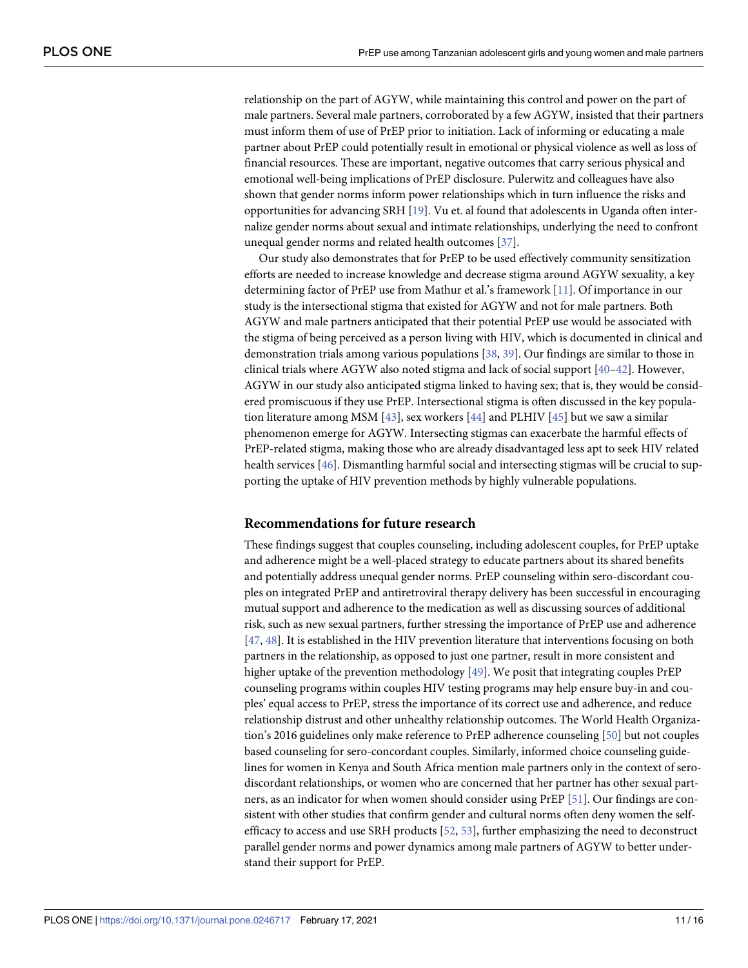<span id="page-10-0"></span>relationship on the part of AGYW, while maintaining this control and power on the part of male partners. Several male partners, corroborated by a few AGYW, insisted that their partners must inform them of use of PrEP prior to initiation. Lack of informing or educating a male partner about PrEP could potentially result in emotional or physical violence as well as loss of financial resources. These are important, negative outcomes that carry serious physical and emotional well-being implications of PrEP disclosure. Pulerwitz and colleagues have also shown that gender norms inform power relationships which in turn influence the risks and opportunities for advancing SRH [[19](#page-13-0)]. Vu et. al found that adolescents in Uganda often internalize gender norms about sexual and intimate relationships, underlying the need to confront unequal gender norms and related health outcomes [\[37\]](#page-14-0).

Our study also demonstrates that for PrEP to be used effectively community sensitization efforts are needed to increase knowledge and decrease stigma around AGYW sexuality, a key determining factor of PrEP use from Mathur et al.'s framework [\[11\]](#page-13-0). Of importance in our study is the intersectional stigma that existed for AGYW and not for male partners. Both AGYW and male partners anticipated that their potential PrEP use would be associated with the stigma of being perceived as a person living with HIV, which is documented in clinical and demonstration trials among various populations [[38](#page-14-0), [39](#page-14-0)]. Our findings are similar to those in clinical trials where AGYW also noted stigma and lack of social support  $[40-42]$  $[40-42]$  $[40-42]$  $[40-42]$ . However, AGYW in our study also anticipated stigma linked to having sex; that is, they would be considered promiscuous if they use PrEP. Intersectional stigma is often discussed in the key population literature among MSM [\[43\]](#page-14-0), sex workers [\[44\]](#page-14-0) and PLHIV [\[45\]](#page-14-0) but we saw a similar phenomenon emerge for AGYW. Intersecting stigmas can exacerbate the harmful effects of PrEP-related stigma, making those who are already disadvantaged less apt to seek HIV related health services [\[46\]](#page-14-0). Dismantling harmful social and intersecting stigmas will be crucial to supporting the uptake of HIV prevention methods by highly vulnerable populations.

#### **Recommendations for future research**

These findings suggest that couples counseling, including adolescent couples, for PrEP uptake and adherence might be a well-placed strategy to educate partners about its shared benefits and potentially address unequal gender norms. PrEP counseling within sero-discordant couples on integrated PrEP and antiretroviral therapy delivery has been successful in encouraging mutual support and adherence to the medication as well as discussing sources of additional risk, such as new sexual partners, further stressing the importance of PrEP use and adherence [\[47,](#page-14-0) [48\]](#page-15-0). It is established in the HIV prevention literature that interventions focusing on both partners in the relationship, as opposed to just one partner, result in more consistent and higher uptake of the prevention methodology [\[49\]](#page-15-0). We posit that integrating couples PrEP counseling programs within couples HIV testing programs may help ensure buy-in and couples' equal access to PrEP, stress the importance of its correct use and adherence, and reduce relationship distrust and other unhealthy relationship outcomes. The World Health Organization's 2016 guidelines only make reference to PrEP adherence counseling [\[50\]](#page-15-0) but not couples based counseling for sero-concordant couples. Similarly, informed choice counseling guidelines for women in Kenya and South Africa mention male partners only in the context of serodiscordant relationships, or women who are concerned that her partner has other sexual partners, as an indicator for when women should consider using PrEP [\[51\]](#page-15-0). Our findings are consistent with other studies that confirm gender and cultural norms often deny women the selfefficacy to access and use SRH products [\[52,](#page-15-0) [53\]](#page-15-0), further emphasizing the need to deconstruct parallel gender norms and power dynamics among male partners of AGYW to better understand their support for PrEP.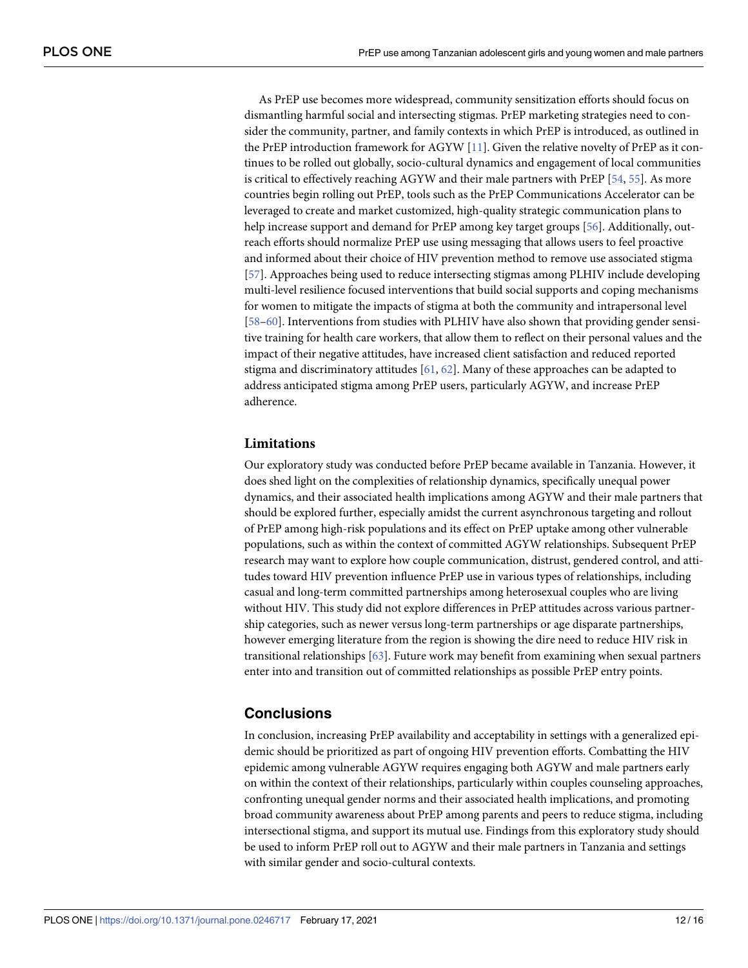<span id="page-11-0"></span>As PrEP use becomes more widespread, community sensitization efforts should focus on dismantling harmful social and intersecting stigmas. PrEP marketing strategies need to consider the community, partner, and family contexts in which PrEP is introduced, as outlined in the PrEP introduction framework for AGYW [[11](#page-13-0)]. Given the relative novelty of PrEP as it continues to be rolled out globally, socio-cultural dynamics and engagement of local communities is critical to effectively reaching AGYW and their male partners with PrEP [[54](#page-15-0), [55](#page-15-0)]. As more countries begin rolling out PrEP, tools such as the PrEP Communications Accelerator can be leveraged to create and market customized, high-quality strategic communication plans to help increase support and demand for PrEP among key target groups [\[56\]](#page-15-0). Additionally, outreach efforts should normalize PrEP use using messaging that allows users to feel proactive and informed about their choice of HIV prevention method to remove use associated stigma [\[57\]](#page-15-0). Approaches being used to reduce intersecting stigmas among PLHIV include developing multi-level resilience focused interventions that build social supports and coping mechanisms for women to mitigate the impacts of stigma at both the community and intrapersonal level [\[58–60\]](#page-15-0). Interventions from studies with PLHIV have also shown that providing gender sensitive training for health care workers, that allow them to reflect on their personal values and the impact of their negative attitudes, have increased client satisfaction and reduced reported stigma and discriminatory attitudes  $[61, 62]$  $[61, 62]$  $[61, 62]$ . Many of these approaches can be adapted to address anticipated stigma among PrEP users, particularly AGYW, and increase PrEP adherence.

#### **Limitations**

Our exploratory study was conducted before PrEP became available in Tanzania. However, it does shed light on the complexities of relationship dynamics, specifically unequal power dynamics, and their associated health implications among AGYW and their male partners that should be explored further, especially amidst the current asynchronous targeting and rollout of PrEP among high-risk populations and its effect on PrEP uptake among other vulnerable populations, such as within the context of committed AGYW relationships. Subsequent PrEP research may want to explore how couple communication, distrust, gendered control, and attitudes toward HIV prevention influence PrEP use in various types of relationships, including casual and long-term committed partnerships among heterosexual couples who are living without HIV. This study did not explore differences in PrEP attitudes across various partnership categories, such as newer versus long-term partnerships or age disparate partnerships, however emerging literature from the region is showing the dire need to reduce HIV risk in transitional relationships [[63](#page-15-0)]. Future work may benefit from examining when sexual partners enter into and transition out of committed relationships as possible PrEP entry points.

### **Conclusions**

In conclusion, increasing PrEP availability and acceptability in settings with a generalized epidemic should be prioritized as part of ongoing HIV prevention efforts. Combatting the HIV epidemic among vulnerable AGYW requires engaging both AGYW and male partners early on within the context of their relationships, particularly within couples counseling approaches, confronting unequal gender norms and their associated health implications, and promoting broad community awareness about PrEP among parents and peers to reduce stigma, including intersectional stigma, and support its mutual use. Findings from this exploratory study should be used to inform PrEP roll out to AGYW and their male partners in Tanzania and settings with similar gender and socio-cultural contexts.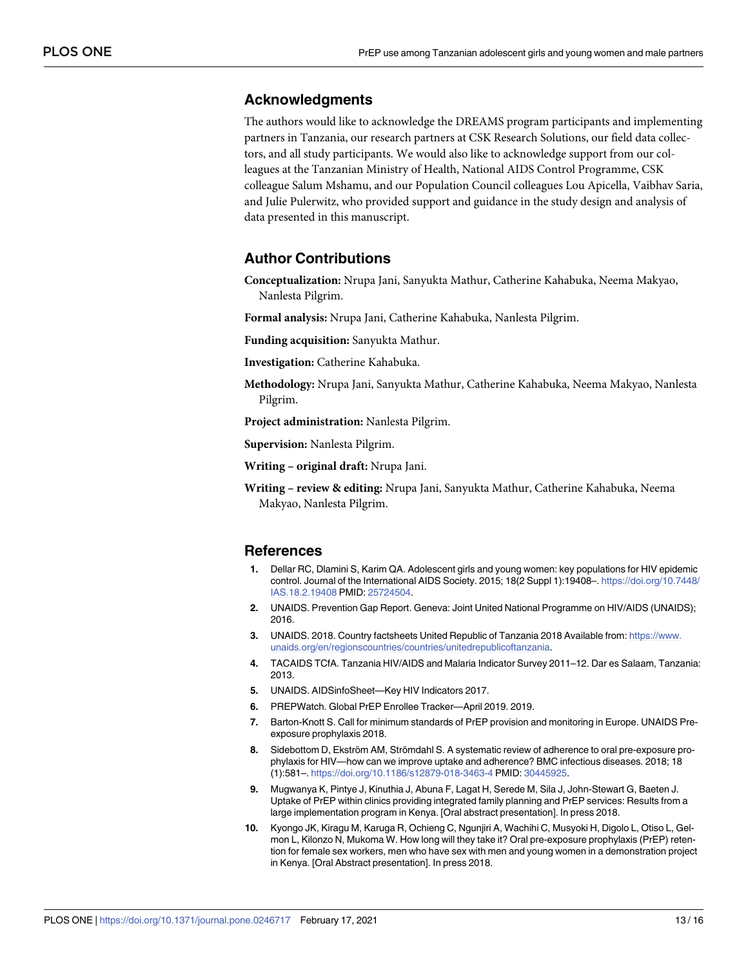#### <span id="page-12-0"></span>**Acknowledgments**

The authors would like to acknowledge the DREAMS program participants and implementing partners in Tanzania, our research partners at CSK Research Solutions, our field data collectors, and all study participants. We would also like to acknowledge support from our colleagues at the Tanzanian Ministry of Health, National AIDS Control Programme, CSK colleague Salum Mshamu, and our Population Council colleagues Lou Apicella, Vaibhav Saria, and Julie Pulerwitz, who provided support and guidance in the study design and analysis of data presented in this manuscript.

#### **Author Contributions**

**Conceptualization:** Nrupa Jani, Sanyukta Mathur, Catherine Kahabuka, Neema Makyao, Nanlesta Pilgrim.

**Formal analysis:** Nrupa Jani, Catherine Kahabuka, Nanlesta Pilgrim.

**Funding acquisition:** Sanyukta Mathur.

**Investigation:** Catherine Kahabuka.

**Methodology:** Nrupa Jani, Sanyukta Mathur, Catherine Kahabuka, Neema Makyao, Nanlesta Pilgrim.

**Project administration:** Nanlesta Pilgrim.

**Supervision:** Nanlesta Pilgrim.

**Writing – original draft:** Nrupa Jani.

**Writing – review & editing:** Nrupa Jani, Sanyukta Mathur, Catherine Kahabuka, Neema Makyao, Nanlesta Pilgrim.

#### **References**

- **[1](#page-1-0).** Dellar RC, Dlamini S, Karim QA. Adolescent girls and young women: key populations for HIV epidemic control. Journal of the International AIDS Society. 2015; 18(2 Suppl 1):19408–. [https://doi.org/10.7448/](https://doi.org/10.7448/IAS.18.2.19408) [IAS.18.2.19408](https://doi.org/10.7448/IAS.18.2.19408) PMID: [25724504](http://www.ncbi.nlm.nih.gov/pubmed/25724504).
- **[2](#page-1-0).** UNAIDS. Prevention Gap Report. Geneva: Joint United National Programme on HIV/AIDS (UNAIDS); 2016.
- **[3](#page-1-0).** UNAIDS. 2018. Country factsheets United Republic of Tanzania 2018 Available from: [https://www.](https://www.unaids.org/en/regionscountries/countries/unitedrepublicoftanzania) [unaids.org/en/regionscountries/countries/unitedrepublicoftanzania](https://www.unaids.org/en/regionscountries/countries/unitedrepublicoftanzania).
- **[4](#page-1-0).** TACAIDS TCfA. Tanzania HIV/AIDS and Malaria Indicator Survey 2011–12. Dar es Salaam, Tanzania: 2013.
- **[5](#page-1-0).** UNAIDS. AIDSinfoSheet—Key HIV Indicators 2017.
- **[6](#page-1-0).** PREPWatch. Global PrEP Enrollee Tracker—April 2019. 2019.
- **[7](#page-1-0).** Barton-Knott S. Call for minimum standards of PrEP provision and monitoring in Europe. UNAIDS Preexposure prophylaxis 2018.
- **[8](#page-1-0).** Sidebottom D, Ekström AM, Strömdahl S. A systematic review of adherence to oral pre-exposure prophylaxis for HIV—how can we improve uptake and adherence? BMC infectious diseases. 2018; 18 (1):581–. <https://doi.org/10.1186/s12879-018-3463-4> PMID: [30445925](http://www.ncbi.nlm.nih.gov/pubmed/30445925).
- **[9](#page-1-0).** Mugwanya K, Pintye J, Kinuthia J, Abuna F, Lagat H, Serede M, Sila J, John-Stewart G, Baeten J. Uptake of PrEP within clinics providing integrated family planning and PrEP services: Results from a large implementation program in Kenya. [Oral abstract presentation]. In press 2018.
- **[10](#page-1-0).** Kyongo JK, Kiragu M, Karuga R, Ochieng C, Ngunjiri A, Wachihi C, Musyoki H, Digolo L, Otiso L, Gelmon L, Kilonzo N, Mukoma W. How long will they take it? Oral pre-exposure prophylaxis (PrEP) retention for female sex workers, men who have sex with men and young women in a demonstration project in Kenya. [Oral Abstract presentation]. In press 2018.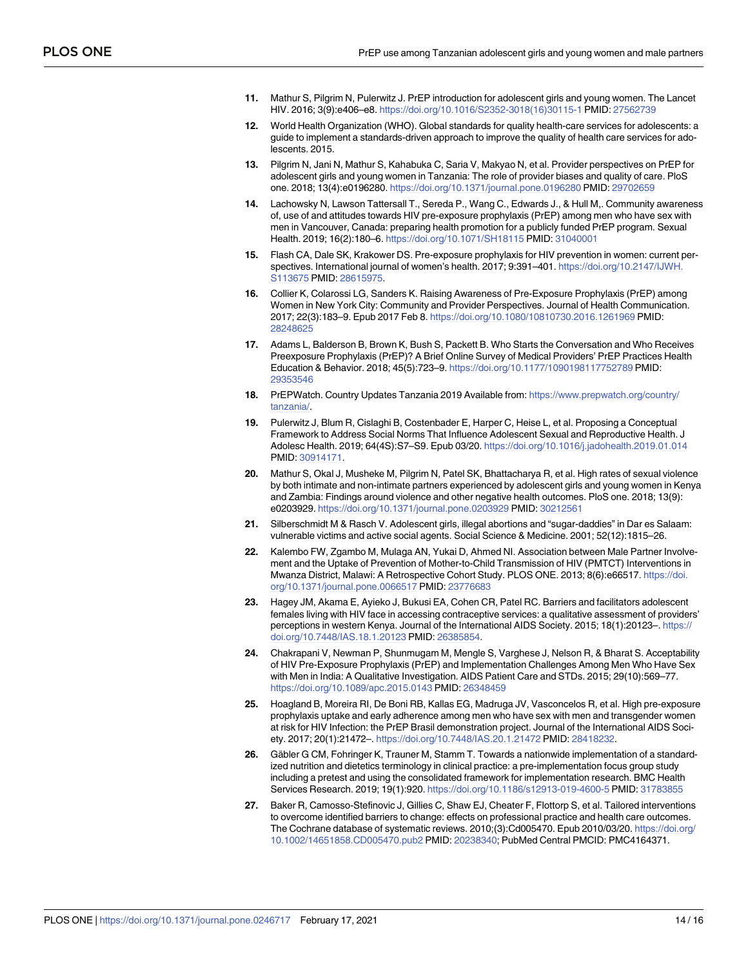- <span id="page-13-0"></span>**[11](#page-1-0).** Mathur S, Pilgrim N, Pulerwitz J. PrEP introduction for adolescent girls and young women. The Lancet HIV. 2016; 3(9):e406–e8. [https://doi.org/10.1016/S2352-3018\(16\)30115-1](https://doi.org/10.1016/S2352-3018%2816%2930115-1) PMID: [27562739](http://www.ncbi.nlm.nih.gov/pubmed/27562739)
- **[12](#page-1-0).** World Health Organization (WHO). Global standards for quality health-care services for adolescents: a guide to implement a standards-driven approach to improve the quality of health care services for adolescents. 2015.
- **[13](#page-1-0).** Pilgrim N, Jani N, Mathur S, Kahabuka C, Saria V, Makyao N, et al. Provider perspectives on PrEP for adolescent girls and young women in Tanzania: The role of provider biases and quality of care. PloS one. 2018; 13(4):e0196280. <https://doi.org/10.1371/journal.pone.0196280> PMID: [29702659](http://www.ncbi.nlm.nih.gov/pubmed/29702659)
- **[14](#page-1-0).** Lachowsky N, Lawson Tattersall T., Sereda P., Wang C., Edwards J., & Hull M,. Community awareness of, use of and attitudes towards HIV pre-exposure prophylaxis (PrEP) among men who have sex with men in Vancouver, Canada: preparing health promotion for a publicly funded PrEP program. Sexual Health. 2019; 16(2):180–6. <https://doi.org/10.1071/SH18115> PMID: [31040001](http://www.ncbi.nlm.nih.gov/pubmed/31040001)
- **[15](#page-1-0).** Flash CA, Dale SK, Krakower DS. Pre-exposure prophylaxis for HIV prevention in women: current perspectives. International journal of women's health. 2017; 9:391–401. [https://doi.org/10.2147/IJWH.](https://doi.org/10.2147/IJWH.S113675) [S113675](https://doi.org/10.2147/IJWH.S113675) PMID: [28615975](http://www.ncbi.nlm.nih.gov/pubmed/28615975).
- **[16](#page-1-0).** Collier K, Colarossi LG, Sanders K. Raising Awareness of Pre-Exposure Prophylaxis (PrEP) among Women in New York City: Community and Provider Perspectives. Journal of Health Communication. 2017; 22(3):183–9. Epub 2017 Feb 8. <https://doi.org/10.1080/10810730.2016.1261969> PMID: [28248625](http://www.ncbi.nlm.nih.gov/pubmed/28248625)
- **[17](#page-1-0).** Adams L, Balderson B, Brown K, Bush S, Packett B. Who Starts the Conversation and Who Receives Preexposure Prophylaxis (PrEP)? A Brief Online Survey of Medical Providers' PrEP Practices Health Education & Behavior. 2018; 45(5):723–9. <https://doi.org/10.1177/1090198117752789> PMID: [29353546](http://www.ncbi.nlm.nih.gov/pubmed/29353546)
- **[18](#page-1-0).** PrEPWatch. Country Updates Tanzania 2019 Available from: [https://www.prepwatch.org/country/](https://www.prepwatch.org/country/tanzania/) [tanzania/](https://www.prepwatch.org/country/tanzania/).
- **[19](#page-1-0).** Pulerwitz J, Blum R, Cislaghi B, Costenbader E, Harper C, Heise L, et al. Proposing a Conceptual Framework to Address Social Norms That Influence Adolescent Sexual and Reproductive Health. J Adolesc Health. 2019; 64(4S):S7–S9. Epub 03/20. <https://doi.org/10.1016/j.jadohealth.2019.01.014> PMID: [30914171](http://www.ncbi.nlm.nih.gov/pubmed/30914171).
- **[20](#page-1-0).** Mathur S, Okal J, Musheke M, Pilgrim N, Patel SK, Bhattacharya R, et al. High rates of sexual violence by both intimate and non-intimate partners experienced by adolescent girls and young women in Kenya and Zambia: Findings around violence and other negative health outcomes. PloS one. 2018; 13(9): e0203929. <https://doi.org/10.1371/journal.pone.0203929> PMID: [30212561](http://www.ncbi.nlm.nih.gov/pubmed/30212561)
- **[21](#page-1-0).** Silberschmidt M & Rasch V. Adolescent girls, illegal abortions and "sugar-daddies" in Dar es Salaam: vulnerable victims and active social agents. Social Science & Medicine. 2001; 52(12):1815–26.
- **[22](#page-1-0).** Kalembo FW, Zgambo M, Mulaga AN, Yukai D, Ahmed NI. Association between Male Partner Involvement and the Uptake of Prevention of Mother-to-Child Transmission of HIV (PMTCT) Interventions in Mwanza District, Malawi: A Retrospective Cohort Study. PLOS ONE. 2013; 8(6):e66517. [https://doi.](https://doi.org/10.1371/journal.pone.0066517) [org/10.1371/journal.pone.0066517](https://doi.org/10.1371/journal.pone.0066517) PMID: [23776683](http://www.ncbi.nlm.nih.gov/pubmed/23776683)
- **[23](#page-1-0).** Hagey JM, Akama E, Ayieko J, Bukusi EA, Cohen CR, Patel RC. Barriers and facilitators adolescent females living with HIV face in accessing contraceptive services: a qualitative assessment of providers' perceptions in western Kenya. Journal of the International AIDS Society. 2015; 18(1):20123–. [https://](https://doi.org/10.7448/IAS.18.1.20123) [doi.org/10.7448/IAS.18.1.20123](https://doi.org/10.7448/IAS.18.1.20123) PMID: [26385854](http://www.ncbi.nlm.nih.gov/pubmed/26385854).
- **[24](#page-1-0).** Chakrapani V, Newman P, Shunmugam M, Mengle S, Varghese J, Nelson R, & Bharat S. Acceptability of HIV Pre-Exposure Prophylaxis (PrEP) and Implementation Challenges Among Men Who Have Sex with Men in India: A Qualitative Investigation. AIDS Patient Care and STDs. 2015; 29(10):569–77. <https://doi.org/10.1089/apc.2015.0143> PMID: [26348459](http://www.ncbi.nlm.nih.gov/pubmed/26348459)
- **[25](#page-1-0).** Hoagland B, Moreira RI, De Boni RB, Kallas EG, Madruga JV, Vasconcelos R, et al. High pre-exposure prophylaxis uptake and early adherence among men who have sex with men and transgender women at risk for HIV Infection: the PrEP Brasil demonstration project. Journal of the International AIDS Society. 2017; 20(1):21472–. <https://doi.org/10.7448/IAS.20.1.21472> PMID: [28418232](http://www.ncbi.nlm.nih.gov/pubmed/28418232).
- **[26](#page-2-0).** Gäbler G CM, Fohringer K, Trauner M, Stamm T. Towards a nationwide implementation of a standardized nutrition and dietetics terminology in clinical practice: a pre-implementation focus group study including a pretest and using the consolidated framework for implementation research. BMC Health Services Research. 2019; 19(1):920. <https://doi.org/10.1186/s12913-019-4600-5> PMID: [31783855](http://www.ncbi.nlm.nih.gov/pubmed/31783855)
- **27.** Baker R, Camosso-Stefinovic J, Gillies C, Shaw EJ, Cheater F, Flottorp S, et al. Tailored interventions to overcome identified barriers to change: effects on professional practice and health care outcomes. The Cochrane database of systematic reviews. 2010;(3):Cd005470. Epub 2010/03/20. [https://doi.org/](https://doi.org/10.1002/14651858.CD005470.pub2) [10.1002/14651858.CD005470.pub2](https://doi.org/10.1002/14651858.CD005470.pub2) PMID: [20238340;](http://www.ncbi.nlm.nih.gov/pubmed/20238340) PubMed Central PMCID: PMC4164371.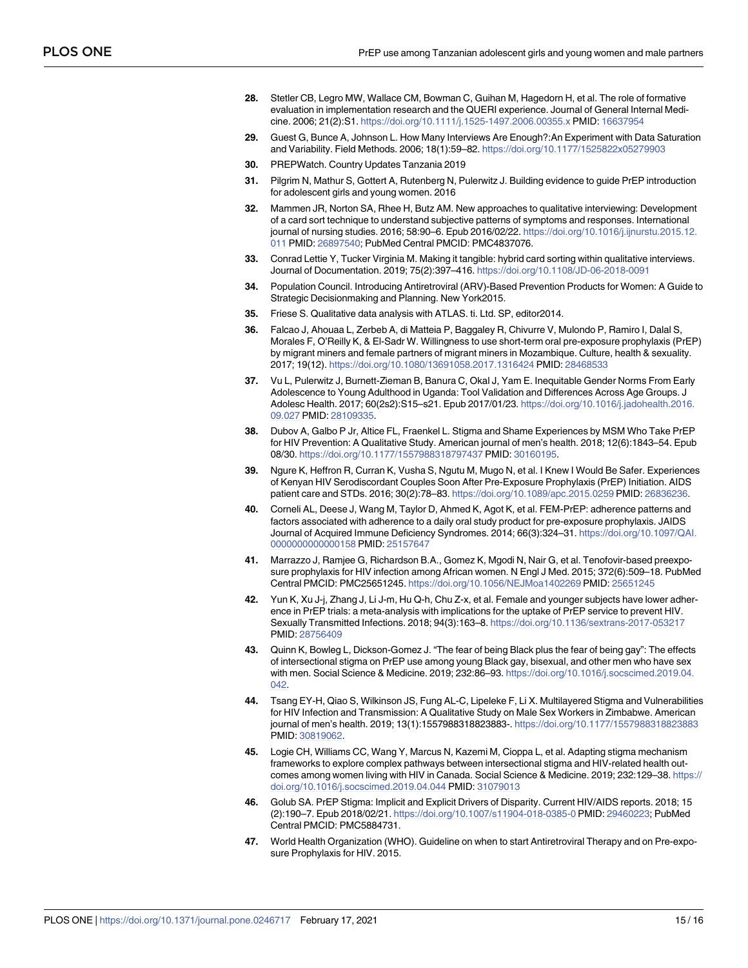- <span id="page-14-0"></span>**[28](#page-2-0).** Stetler CB, Legro MW, Wallace CM, Bowman C, Guihan M, Hagedorn H, et al. The role of formative evaluation in implementation research and the QUERI experience. Journal of General Internal Medicine. 2006; 21(2):S1. <https://doi.org/10.1111/j.1525-1497.2006.00355.x> PMID: [16637954](http://www.ncbi.nlm.nih.gov/pubmed/16637954)
- **[29](#page-2-0).** Guest G, Bunce A, Johnson L. How Many Interviews Are Enough?:An Experiment with Data Saturation and Variability. Field Methods. 2006; 18(1):59–82. <https://doi.org/10.1177/1525822x05279903>
- **[30](#page-3-0).** PREPWatch. Country Updates Tanzania 2019
- **[31](#page-3-0).** Pilgrim N, Mathur S, Gottert A, Rutenberg N, Pulerwitz J. Building evidence to guide PrEP introduction for adolescent girls and young women. 2016
- **[32](#page-3-0).** Mammen JR, Norton SA, Rhee H, Butz AM. New approaches to qualitative interviewing: Development of a card sort technique to understand subjective patterns of symptoms and responses. International journal of nursing studies. 2016; 58:90–6. Epub 2016/02/22. [https://doi.org/10.1016/j.ijnurstu.2015.12.](https://doi.org/10.1016/j.ijnurstu.2015.12.011) [011](https://doi.org/10.1016/j.ijnurstu.2015.12.011) PMID: [26897540;](http://www.ncbi.nlm.nih.gov/pubmed/26897540) PubMed Central PMCID: PMC4837076.
- **[33](#page-3-0).** Conrad Lettie Y, Tucker Virginia M. Making it tangible: hybrid card sorting within qualitative interviews. Journal of Documentation. 2019; 75(2):397–416. <https://doi.org/10.1108/JD-06-2018-0091>
- **[34](#page-3-0).** Population Council. Introducing Antiretroviral (ARV)-Based Prevention Products for Women: A Guide to Strategic Decisionmaking and Planning. New York2015.
- **[35](#page-3-0).** Friese S. Qualitative data analysis with ATLAS. ti. Ltd. SP, editor2014.
- **[36](#page-9-0).** Falcao J, Ahouaa L, Zerbeb A, di Matteia P, Baggaley R, Chivurre V, Mulondo P, Ramiro I, Dalal S, Morales F, O'Reilly K, & El-Sadr W. Willingness to use short-term oral pre-exposure prophylaxis (PrEP) by migrant miners and female partners of migrant miners in Mozambique. Culture, health & sexuality. 2017; 19(12). <https://doi.org/10.1080/13691058.2017.1316424> PMID: [28468533](http://www.ncbi.nlm.nih.gov/pubmed/28468533)
- **[37](#page-10-0).** Vu L, Pulerwitz J, Burnett-Zieman B, Banura C, Okal J, Yam E. Inequitable Gender Norms From Early Adolescence to Young Adulthood in Uganda: Tool Validation and Differences Across Age Groups. J Adolesc Health. 2017; 60(2s2):S15–s21. Epub 2017/01/23. [https://doi.org/10.1016/j.jadohealth.2016.](https://doi.org/10.1016/j.jadohealth.2016.09.027) [09.027](https://doi.org/10.1016/j.jadohealth.2016.09.027) PMID: [28109335.](http://www.ncbi.nlm.nih.gov/pubmed/28109335)
- **[38](#page-10-0).** Dubov A, Galbo P Jr, Altice FL, Fraenkel L. Stigma and Shame Experiences by MSM Who Take PrEP for HIV Prevention: A Qualitative Study. American journal of men's health. 2018; 12(6):1843–54. Epub 08/30. <https://doi.org/10.1177/1557988318797437> PMID: [30160195.](http://www.ncbi.nlm.nih.gov/pubmed/30160195)
- **[39](#page-10-0).** Ngure K, Heffron R, Curran K, Vusha S, Ngutu M, Mugo N, et al. I Knew I Would Be Safer. Experiences of Kenyan HIV Serodiscordant Couples Soon After Pre-Exposure Prophylaxis (PrEP) Initiation. AIDS patient care and STDs. 2016; 30(2):78–83. <https://doi.org/10.1089/apc.2015.0259> PMID: [26836236](http://www.ncbi.nlm.nih.gov/pubmed/26836236).
- **[40](#page-10-0).** Corneli AL, Deese J, Wang M, Taylor D, Ahmed K, Agot K, et al. FEM-PrEP: adherence patterns and factors associated with adherence to a daily oral study product for pre-exposure prophylaxis. JAIDS Journal of Acquired Immune Deficiency Syndromes. 2014; 66(3):324–31. [https://doi.org/10.1097/QAI.](https://doi.org/10.1097/QAI.0000000000000158) [0000000000000158](https://doi.org/10.1097/QAI.0000000000000158) PMID: [25157647](http://www.ncbi.nlm.nih.gov/pubmed/25157647)
- **41.** Marrazzo J, Ramjee G, Richardson B.A., Gomez K, Mgodi N, Nair G, et al. Tenofovir-based preexposure prophylaxis for HIV infection among African women. N Engl J Med. 2015; 372(6):509–18. PubMed Central PMCID: PMC25651245. <https://doi.org/10.1056/NEJMoa1402269> PMID: [25651245](http://www.ncbi.nlm.nih.gov/pubmed/25651245)
- **[42](#page-10-0).** Yun K, Xu J-j, Zhang J, Li J-m, Hu Q-h, Chu Z-x, et al. Female and younger subjects have lower adherence in PrEP trials: a meta-analysis with implications for the uptake of PrEP service to prevent HIV. Sexually Transmitted Infections. 2018; 94(3):163–8. <https://doi.org/10.1136/sextrans-2017-053217> PMID: [28756409](http://www.ncbi.nlm.nih.gov/pubmed/28756409)
- **[43](#page-10-0).** Quinn K, Bowleg L, Dickson-Gomez J. "The fear of being Black plus the fear of being gay": The effects of intersectional stigma on PrEP use among young Black gay, bisexual, and other men who have sex with men. Social Science & Medicine. 2019; 232:86–93. [https://doi.org/10.1016/j.socscimed.2019.04.](https://doi.org/10.1016/j.socscimed.2019.04.042) [042.](https://doi.org/10.1016/j.socscimed.2019.04.042)
- **[44](#page-10-0).** Tsang EY-H, Qiao S, Wilkinson JS, Fung AL-C, Lipeleke F, Li X. Multilayered Stigma and Vulnerabilities for HIV Infection and Transmission: A Qualitative Study on Male Sex Workers in Zimbabwe. American journal of men's health. 2019; 13(1):1557988318823883-. <https://doi.org/10.1177/1557988318823883> PMID: [30819062](http://www.ncbi.nlm.nih.gov/pubmed/30819062).
- **[45](#page-10-0).** Logie CH, Williams CC, Wang Y, Marcus N, Kazemi M, Cioppa L, et al. Adapting stigma mechanism frameworks to explore complex pathways between intersectional stigma and HIV-related health outcomes among women living with HIV in Canada. Social Science & Medicine. 2019; 232:129–38. [https://](https://doi.org/10.1016/j.socscimed.2019.04.044) [doi.org/10.1016/j.socscimed.2019.04.044](https://doi.org/10.1016/j.socscimed.2019.04.044) PMID: [31079013](http://www.ncbi.nlm.nih.gov/pubmed/31079013)
- **[46](#page-10-0).** Golub SA. PrEP Stigma: Implicit and Explicit Drivers of Disparity. Current HIV/AIDS reports. 2018; 15 (2):190–7. Epub 2018/02/21. <https://doi.org/10.1007/s11904-018-0385-0> PMID: [29460223;](http://www.ncbi.nlm.nih.gov/pubmed/29460223) PubMed Central PMCID: PMC5884731.
- **[47](#page-10-0).** World Health Organization (WHO). Guideline on when to start Antiretroviral Therapy and on Pre-exposure Prophylaxis for HIV. 2015.